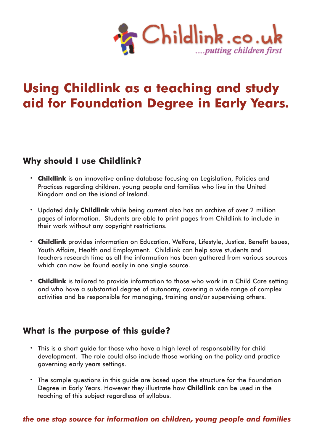

# **Using Childlink as a teaching and study aid for Foundation Degree in Early Years.**

## **Why should I use Childlink?**

- **· Childlink** is an innovative online database focusing on Legislation, Policies and Practices regarding children, young people and families who live in the United Kingdom and on the island of Ireland.
- **·** Updated daily **Childlink** while being current also has an archive of over 2 million pages of information. Students are able to print pages from Childlink to include in their work without any copyright restrictions.
- **· Childlink** provides information on Education, Welfare, Lifestyle, Justice, Benefit Issues, Youth Affairs, Health and Employment. Childlink can help save students and teachers research time as all the information has been gathered from various sources which can now be found easily in one single source.
- **· Childlink** is tailored to provide information to those who work in a Child Care setting and who have a substantial degree of autonomy, covering a wide range of complex activities and be responsible for managing, training and/or supervising others.

### **What is the purpose of this guide?**

- **·** This is a short guide for those who have a high level of responsability for child development. The role could also include those working on the policy and practice governing early years settings.
- **·** The sample questions in this guide are based upon the structure for the Foundation Degree in Early Years. However they illustrate how **Childlink** can be used in the teaching of this subject regardless of syllabus.

### *the one stop source for information on children, young people and families*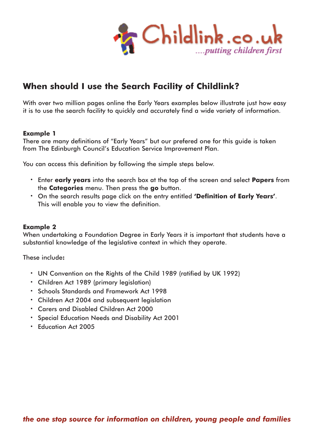

# **When should I use the Search Facility of Childlink?**

With over two million pages online the Early Years examples below illustrate just how easy it is to use the search facility to quickly and accurately find a wide variety of information.

#### **Example 1**

There are many definitions of "Early Years" but our prefered one for this guide is taken from The Edinburgh Council's Education Service Improvement Plan.

You can access this definition by following the simple steps below.

- **·** Enter **early years** into the search box at the top of the screen and select **Papers** from the **Categories** menu. Then press the **go** button.
- **·** On the search results page click on the entry entitled **'Definition of Early Years'**. This will enable you to view the definition.

#### **Example 2**

When undertaking a Foundation Degree in Early Years it is important that students have a substantial knowledge of the legislative context in which they operate.

These include**:**

- **·** UN Convention on the Rights of the Child 1989 (ratified by UK 1992)
- **·** Children Act 1989 (primary legislation)
- **·** Schools Standards and Framework Act 1998
- **·** Children Act 2004 and subsequent legislation
- **·** Carers and Disabled Children Act 2000
- **·** Special Education Needs and Disability Act 2001
- **·** Education Act 2005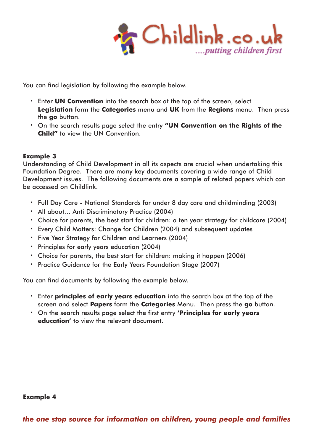

You can find legislation by following the example below.

- **·** Enter **UN Convention** into the search box at the top of the screen, select **Legislation** form the **Categories** menu and **UK** from the **Regions** menu. Then press the **go** button.
- **·** On the search results page select the entry **"UN Convention on the Rights of the Child"** to view the UN Convention.

#### **Example 3**

Understanding of Child Development in all its aspects are crucial when undertaking this Foundation Degree. There are many key documents covering a wide range of Child Development issues. The following documents are a sample of related papers which can be accessed on Childlink.

- **·** Full Day Care National Standards for under 8 day care and childminding (2003)
- **·** All about… Anti Discriminatory Practice (2004)
- **·** Choice for parents, the best start for children: a ten year strategy for childcare (2004)
- **·** Every Child Matters: Change for Children (2004) and subsequent updates
- **·** Five Year Strategy for Children and Learners (2004)
- **·** Principles for early years education (2004)
- **·** Choice for parents, the best start for children: making it happen (2006)
- **·** Practice Guidance for the Early Years Foundation Stage (2007)

You can find documents by following the example below.

- **·** Enter **principles of early years education** into the search box at the top of the screen and select **Papers** form the **Categories** Menu. Then press the **go** button.
- **·** On the search results page select the first entry **'Principles for early years education'** to view the relevant document.

#### **Example 4**

*the one stop source for information on children, young people and families*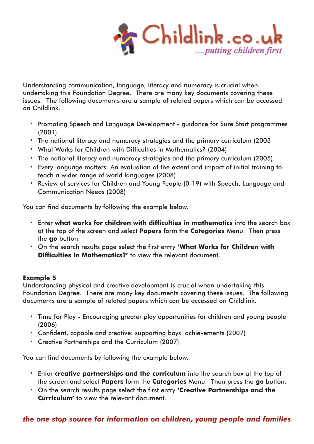

Understanding communication, language, literacy and numeracy is crucial when undertaking this Foundation Degree. There are many key documents covering these issues. The following documents are a sample of related papers which can be accessed on Childlink.

- **·** Promoting Speech and Language Development guidance for Sure Start programmes (2001)
- **·** The national literacy and numeracy strategies and the primary curriculum (2003
- **·** What Works for Children with Difficulties in Mathematics? (2004)
- **·** The national literacy and numeracy strategies and the primary curriculum (2005)
- **·** Every language matters: An evaluation of the extent and impact of initial training to teach a wider range of world languages (2008)
- **·** Review of services for Children and Young People (0-19) with Speech, Language and Communication Needs (2008)

You can find documents by following the example below.

- **·** Enter **what works for children with difficulties in mathematics** into the search box at the top of the screen and select **Papers** form the **Categories** Menu. Then press the **go** button.
- **·** On the search results page select the first entry **'What Works for Children with Difficulties in Mathematics?'** to view the relevant document.

#### **Example 5**

Understanding physical and creative development is crucial when undertaking this Foundation Degree. There are many key documents covering these issues. The following documents are a sample of related papers which can be accessed on Childlink.

- **·** Time for Play Encouraging greater play opportunities for children and young people (2006)
- **·** Confident, capable and creative: supporting boys' achievements (2007)
- **·** Creative Partnerships and the Curriculum (2007)

You can find documents by following the example below.

- **·** Enter **creative partnerships and the curriculum** into the search box at the top of the screen and select **Papers** form the **Categories** Menu. Then press the **go** button.
- **·** On the search results page select the first entry **'Creative Partnerships and the Curriculum'** to view the relevant document.

### *the one stop source for information on children, young people and families*